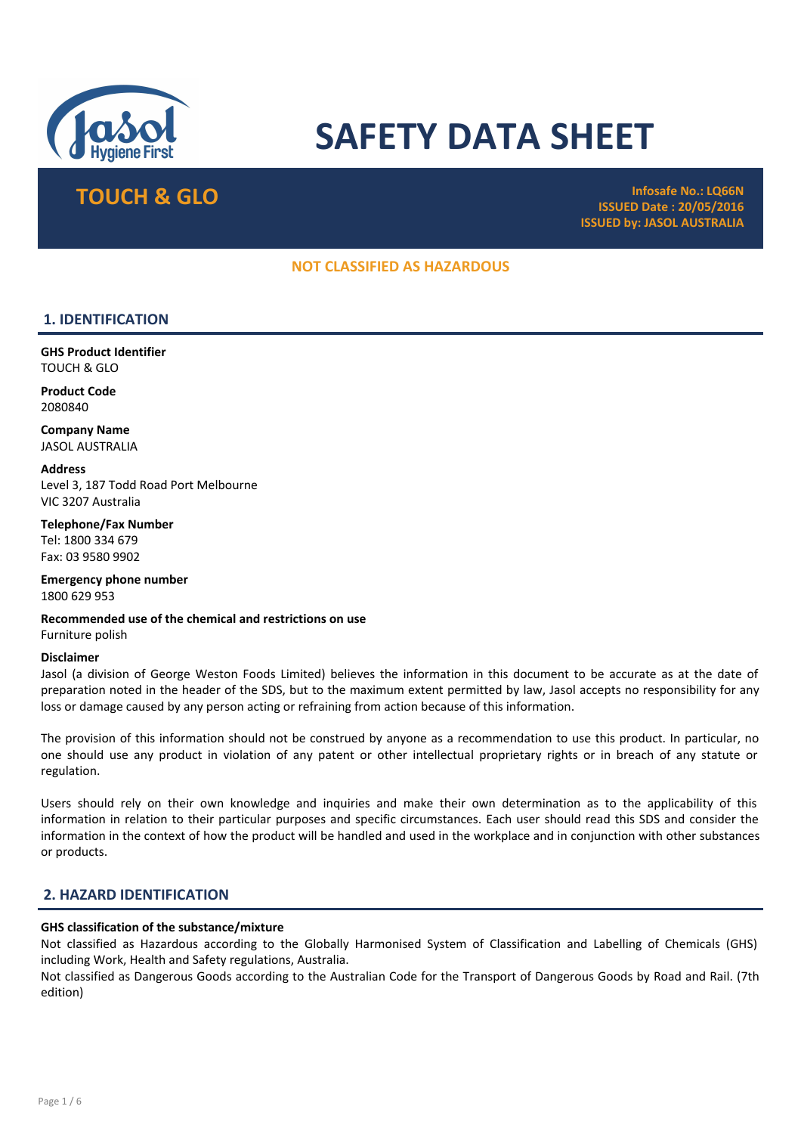

# SAFETY DATA SHEET

TOUCH & GLO<br>
TOUCH & GLO ISSUED Date : 20/05/2016 ISSUED by: JASOL AUSTRALIA

### NOT CLASSIFIED AS HAZARDOUS

### 1. IDENTIFICATION

GHS Product Identifier TOUCH & GLO

Product Code 2080840

Company Name JASOL AUSTRALIA

**Address** Level 3, 187 Todd Road Port Melbourne VIC 3207 Australia

Telephone/Fax Number Tel: 1800 334 679 Fax: 03 9580 9902

Emergency phone number 1800 629 953

Recommended use of the chemical and restrictions on use Furniture polish

#### Disclaimer

Jasol (a division of George Weston Foods Limited) believes the information in this document to be accurate as at the date of preparation noted in the header of the SDS, but to the maximum extent permitted by law, Jasol accepts no responsibility for any loss or damage caused by any person acting or refraining from action because of this information.

The provision of this information should not be construed by anyone as a recommendation to use this product. In particular, no one should use any product in violation of any patent or other intellectual proprietary rights or in breach of any statute or regulation.

Users should rely on their own knowledge and inquiries and make their own determination as to the applicability of this information in relation to their particular purposes and specific circumstances. Each user should read this SDS and consider the information in the context of how the product will be handled and used in the workplace and in conjunction with other substances or products.

### 2. HAZARD IDENTIFICATION

### GHS classification of the substance/mixture

Not classified as Hazardous according to the Globally Harmonised System of Classification and Labelling of Chemicals (GHS) including Work, Health and Safety regulations, Australia.

Not classified as Dangerous Goods according to the Australian Code for the Transport of Dangerous Goods by Road and Rail. (7th edition)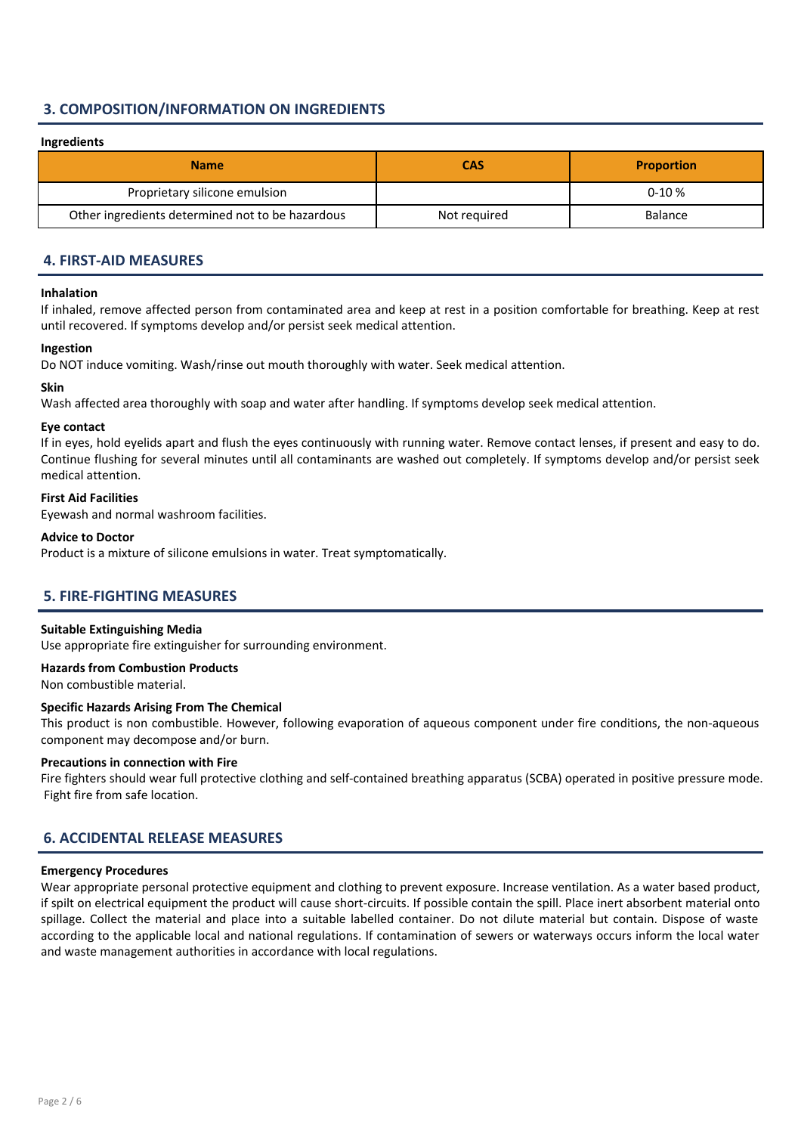### 3. COMPOSITION/INFORMATION ON INGREDIENTS

### Ingredients

| <b>Name</b>                                      | <b>CAS</b>   | <b>Proportion</b> |
|--------------------------------------------------|--------------|-------------------|
| Proprietary silicone emulsion                    |              | $0-10%$           |
| Other ingredients determined not to be hazardous | Not required | <b>Balance</b>    |

### 4. FIRST-AID MEASURES

### Inhalation

If inhaled, remove affected person from contaminated area and keep at rest in a position comfortable for breathing. Keep at rest until recovered. If symptoms develop and/or persist seek medical attention.

#### Ingestion

Do NOT induce vomiting. Wash/rinse out mouth thoroughly with water. Seek medical attention.

### Skin

Wash affected area thoroughly with soap and water after handling. If symptoms develop seek medical attention.

### Eye contact

If in eyes, hold eyelids apart and flush the eyes continuously with running water. Remove contact lenses, if present and easy to do. Continue flushing for several minutes until all contaminants are washed out completely. If symptoms develop and/or persist seek medical attention.

### First Aid Facilities

Eyewash and normal washroom facilities.

### Advice to Doctor

Product is a mixture of silicone emulsions in water. Treat symptomatically.

### 5. FIRE-FIGHTING MEASURES

### Suitable Extinguishing Media

Use appropriate fire extinguisher for surrounding environment.

#### Hazards from Combustion Products

Non combustible material.

### Specific Hazards Arising From The Chemical

This product is non combustible. However, following evaporation of aqueous component under fire conditions, the non-aqueous component may decompose and/or burn.

#### Precautions in connection with Fire

Fire fighters should wear full protective clothing and self-contained breathing apparatus (SCBA) operated in positive pressure mode. Fight fire from safe location.

### 6. ACCIDENTAL RELEASE MEASURES

### Emergency Procedures

Wear appropriate personal protective equipment and clothing to prevent exposure. Increase ventilation. As a water based product, if spilt on electrical equipment the product will cause short-circuits. If possible contain the spill. Place inert absorbent material onto spillage. Collect the material and place into a suitable labelled container. Do not dilute material but contain. Dispose of waste according to the applicable local and national regulations. If contamination of sewers or waterways occurs inform the local water and waste management authorities in accordance with local regulations.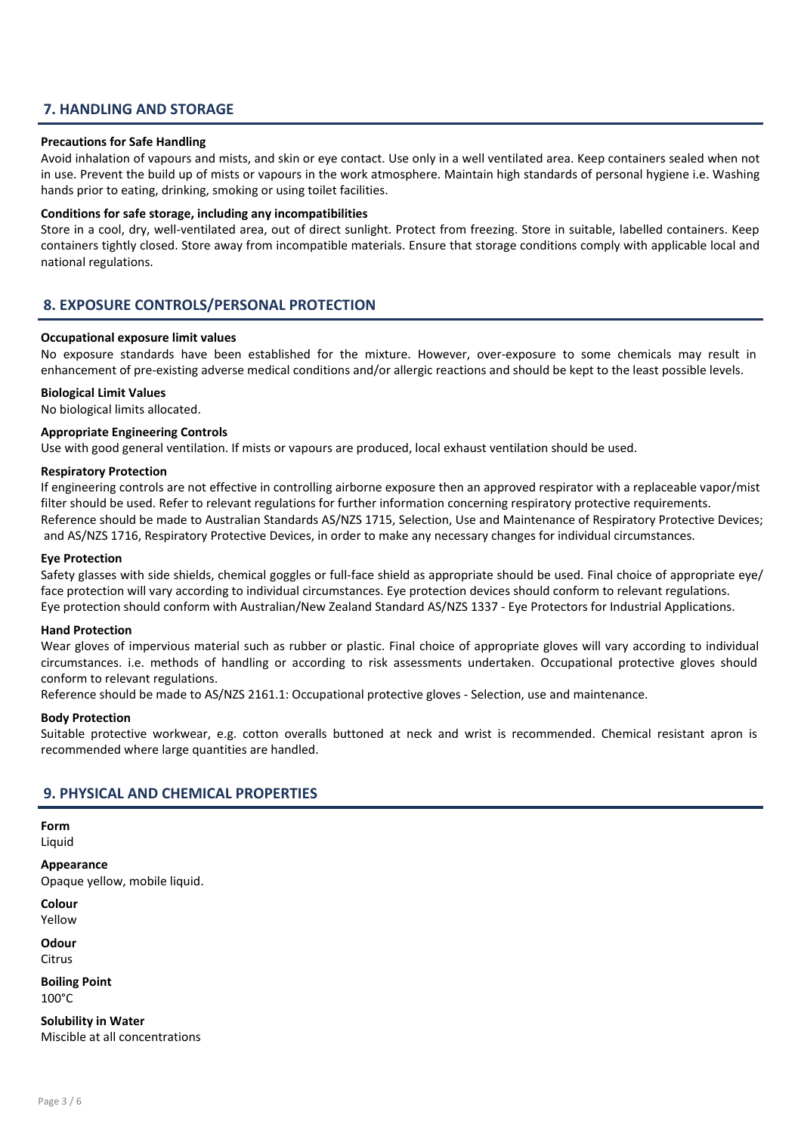### 7. HANDLING AND STORAGE

### Precautions for Safe Handling

Avoid inhalation of vapours and mists, and skin or eye contact. Use only in a well ventilated area. Keep containers sealed when not in use. Prevent the build up of mists or vapours in the work atmosphere. Maintain high standards of personal hygiene i.e. Washing hands prior to eating, drinking, smoking or using toilet facilities.

#### Conditions for safe storage, including any incompatibilities

Store in a cool, dry, well-ventilated area, out of direct sunlight. Protect from freezing. Store in suitable, labelled containers. Keep containers tightly closed. Store away from incompatible materials. Ensure that storage conditions comply with applicable local and national regulations.

### 8. EXPOSURE CONTROLS/PERSONAL PROTECTION

### Occupational exposure limit values

No exposure standards have been established for the mixture. However, over-exposure to some chemicals may result in enhancement of pre-existing adverse medical conditions and/or allergic reactions and should be kept to the least possible levels.

### Biological Limit Values

No biological limits allocated.

### Appropriate Engineering Controls

Use with good general ventilation. If mists or vapours are produced, local exhaust ventilation should be used.

### Respiratory Protection

If engineering controls are not effective in controlling airborne exposure then an approved respirator with a replaceable vapor/mist filter should be used. Refer to relevant regulations for further information concerning respiratory protective requirements. Reference should be made to Australian Standards AS/NZS 1715, Selection, Use and Maintenance of Respiratory Protective Devices; and AS/NZS 1716, Respiratory Protective Devices, in order to make any necessary changes for individual circumstances.

### Eye Protection

Safety glasses with side shields, chemical goggles or full-face shield as appropriate should be used. Final choice of appropriate eye/ face protection will vary according to individual circumstances. Eye protection devices should conform to relevant regulations. Eye protection should conform with Australian/New Zealand Standard AS/NZS 1337 - Eye Protectors for Industrial Applications.

#### Hand Protection

Wear gloves of impervious material such as rubber or plastic. Final choice of appropriate gloves will vary according to individual circumstances. i.e. methods of handling or according to risk assessments undertaken. Occupational protective gloves should conform to relevant regulations.

Reference should be made to AS/NZS 2161.1: Occupational protective gloves - Selection, use and maintenance.

#### Body Protection

Suitable protective workwear, e.g. cotton overalls buttoned at neck and wrist is recommended. Chemical resistant apron is recommended where large quantities are handled.

### 9. PHYSICAL AND CHEMICAL PROPERTIES

Form

Liquid

Appearance Opaque yellow, mobile liquid.

Colour

Yellow

Odour

**Citrus** 

Boiling Point 100°C

Solubility in Water Miscible at all concentrations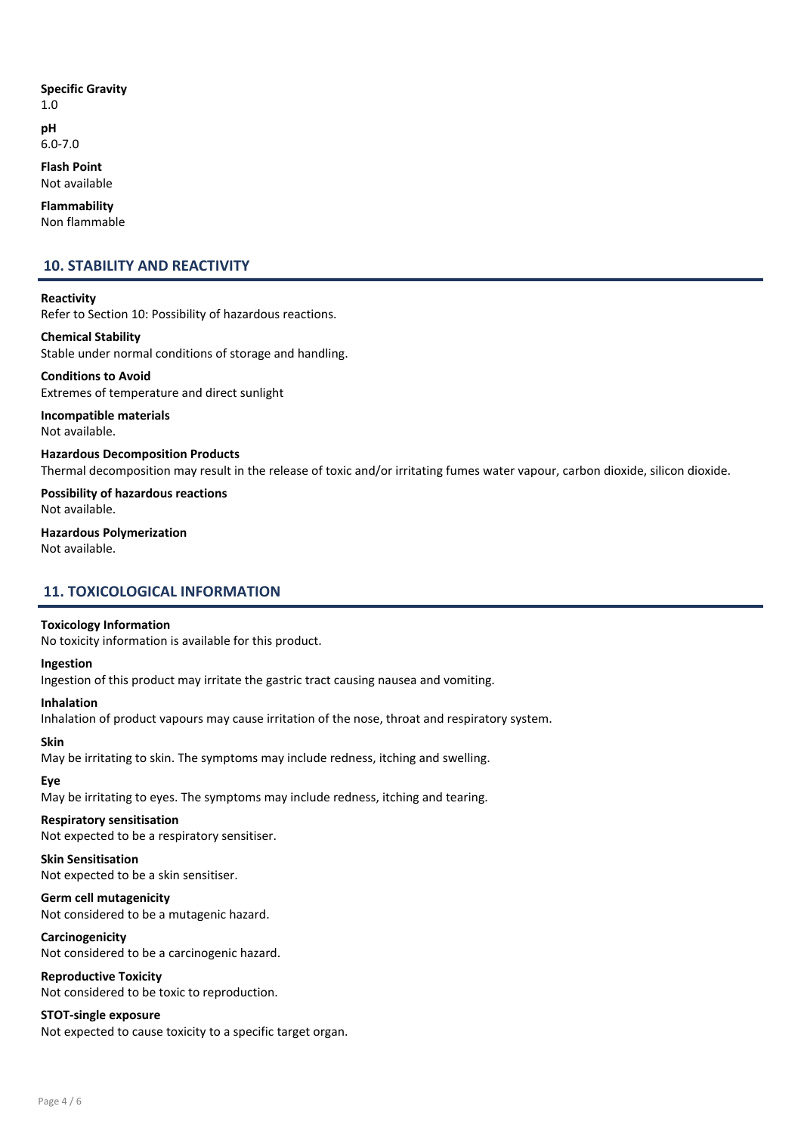### Specific Gravity

1.0 pH

6.0-7.0

Flash Point Not available

Flammability

Non flammable

## 10. STABILITY AND REACTIVITY

**Reactivity** Refer to Section 10: Possibility of hazardous reactions.

Chemical Stability Stable under normal conditions of storage and handling.

Conditions to Avoid Extremes of temperature and direct sunlight

Incompatible materials Not available.

Hazardous Decomposition Products Thermal decomposition may result in the release of toxic and/or irritating fumes water vapour, carbon dioxide, silicon dioxide.

Possibility of hazardous reactions Not available.

Hazardous Polymerization Not available.

### 11. TOXICOLOGICAL INFORMATION

### Toxicology Information

No toxicity information is available for this product.

### Ingestion

Ingestion of this product may irritate the gastric tract causing nausea and vomiting.

Inhalation

Inhalation of product vapours may cause irritation of the nose, throat and respiratory system.

### Skin

May be irritating to skin. The symptoms may include redness, itching and swelling.

### Eye

May be irritating to eyes. The symptoms may include redness, itching and tearing.

### Respiratory sensitisation

Not expected to be a respiratory sensitiser.

### Skin Sensitisation

Not expected to be a skin sensitiser.

### Germ cell mutagenicity

Not considered to be a mutagenic hazard.

### **Carcinogenicity**

Not considered to be a carcinogenic hazard.

### Reproductive Toxicity

Not considered to be toxic to reproduction.

### STOT-single exposure

Not expected to cause toxicity to a specific target organ.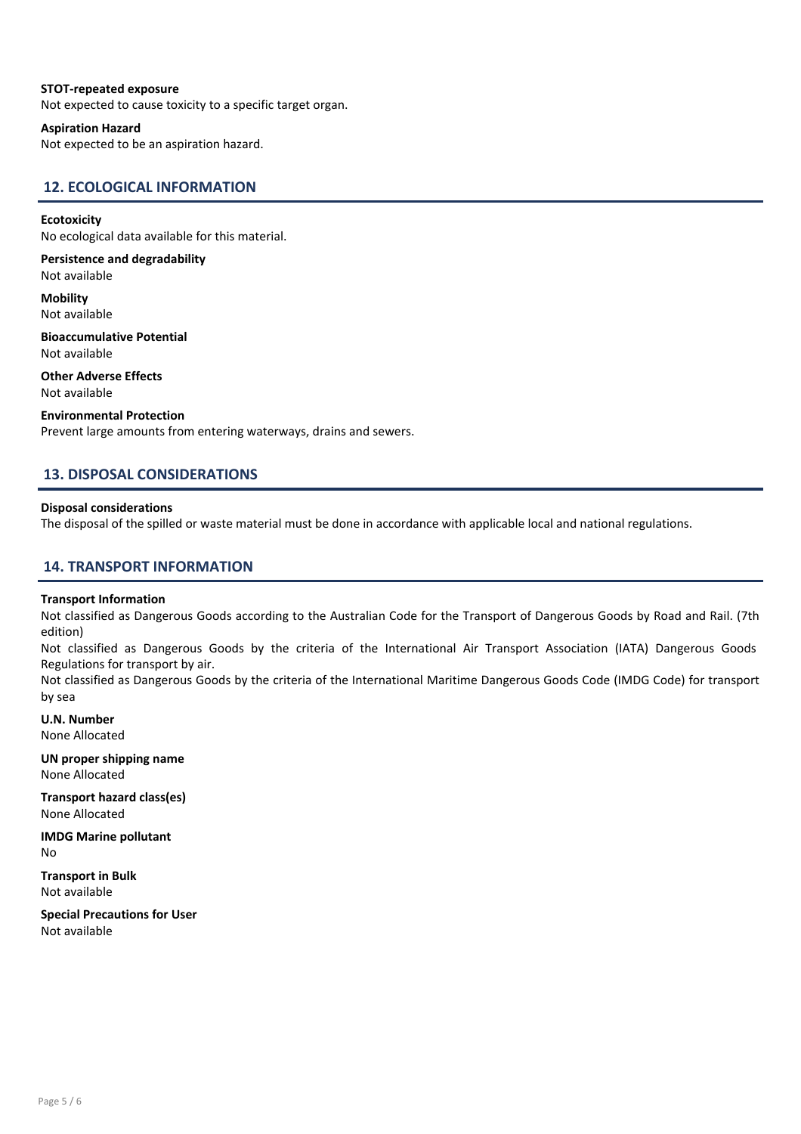### STOT-repeated exposure

Not expected to cause toxicity to a specific target organ.

#### Aspiration Hazard

Not expected to be an aspiration hazard.

### 12. ECOLOGICAL INFORMATION

#### Ecotoxicity

No ecological data available for this material.

Persistence and degradability Not available

**Mobility** Not available

Bioaccumulative Potential Not available

Other Adverse Effects Not available

### Environmental Protection

Prevent large amounts from entering waterways, drains and sewers.

### 13. DISPOSAL CONSIDERATIONS

### Disposal considerations

The disposal of the spilled or waste material must be done in accordance with applicable local and national regulations.

### 14. TRANSPORT INFORMATION

#### Transport Information

Not classified as Dangerous Goods according to the Australian Code for the Transport of Dangerous Goods by Road and Rail. (7th edition)

Not classified as Dangerous Goods by the criteria of the International Air Transport Association (IATA) Dangerous Goods Regulations for transport by air.

Not classified as Dangerous Goods by the criteria of the International Maritime Dangerous Goods Code (IMDG Code) for transport by sea

U.N. Number None Allocated

UN proper shipping name None Allocated

Transport hazard class(es) None Allocated

IMDG Marine pollutant No

Transport in Bulk Not available

Special Precautions for User Not available